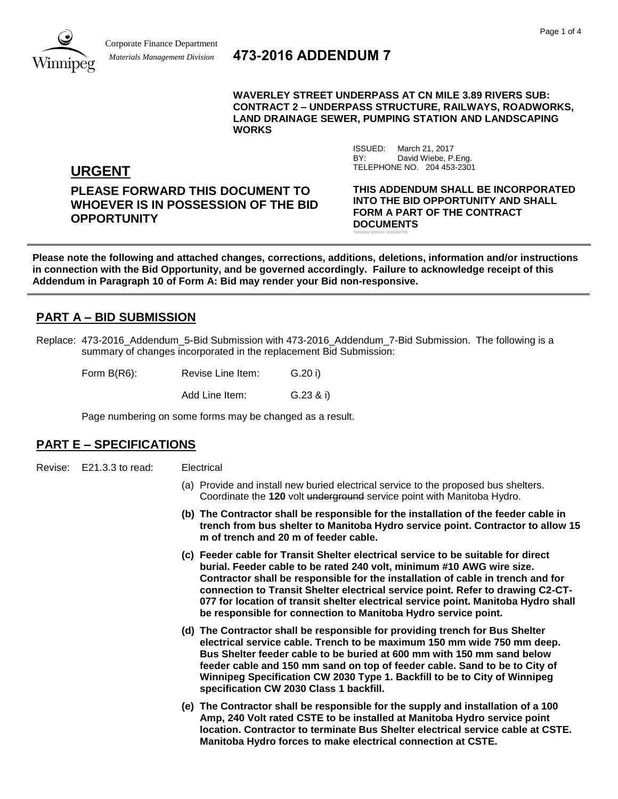

# *Materials Management Division* **473-2016 ADDENDUM 7**

**WAVERLEY STREET UNDERPASS AT CN MILE 3.89 RIVERS SUB: CONTRACT 2 – UNDERPASS STRUCTURE, RAILWAYS, ROADWORKS, LAND DRAINAGE SEWER, PUMPING STATION AND LANDSCAPING WORKS**

> ISSUED: March 21, 2017 BY: David Wiebe, P.Eng.

Template Version: A20160708

TELEPHONE NO. 204 453-2301

**URGENT**

**PLEASE FORWARD THIS DOCUMENT TO WHOEVER IS IN POSSESSION OF THE BID OPPORTUNITY**

**THIS ADDENDUM SHALL BE INCORPORATED INTO THE BID OPPORTUNITY AND SHALL FORM A PART OF THE CONTRACT DOCUMENTS**

**Please note the following and attached changes, corrections, additions, deletions, information and/or instructions in connection with the Bid Opportunity, and be governed accordingly. Failure to acknowledge receipt of this Addendum in Paragraph 10 of Form A: Bid may render your Bid non-responsive.**

# **PART A – BID SUBMISSION**

Replace: 473-2016 Addendum 5-Bid Submission with 473-2016 Addendum 7-Bid Submission. The following is a summary of changes incorporated in the replacement Bid Submission:

| Form B(R6): | Revise Line Item: | G.20 i) |
|-------------|-------------------|---------|
|-------------|-------------------|---------|

Add Line Item: G.23 & i)

Page numbering on some forms may be changed as a result.

## **PART E – SPECIFICATIONS**

Revise: E21.3.3 to read: Electrical

- (a) Provide and install new buried electrical service to the proposed bus shelters. Coordinate the **120** volt underground service point with Manitoba Hydro.
- **(b) The Contractor shall be responsible for the installation of the feeder cable in trench from bus shelter to Manitoba Hydro service point. Contractor to allow 15 m of trench and 20 m of feeder cable.**
- **(c) Feeder cable for Transit Shelter electrical service to be suitable for direct burial. Feeder cable to be rated 240 volt, minimum #10 AWG wire size. Contractor shall be responsible for the installation of cable in trench and for connection to Transit Shelter electrical service point. Refer to drawing C2-CT-077 for location of transit shelter electrical service point. Manitoba Hydro shall be responsible for connection to Manitoba Hydro service point.**
- **(d) The Contractor shall be responsible for providing trench for Bus Shelter electrical service cable. Trench to be maximum 150 mm wide 750 mm deep. Bus Shelter feeder cable to be buried at 600 mm with 150 mm sand below feeder cable and 150 mm sand on top of feeder cable. Sand to be to City of Winnipeg Specification CW 2030 Type 1. Backfill to be to City of Winnipeg specification CW 2030 Class 1 backfill.**
- **(e) The Contractor shall be responsible for the supply and installation of a 100 Amp, 240 Volt rated CSTE to be installed at Manitoba Hydro service point location. Contractor to terminate Bus Shelter electrical service cable at CSTE. Manitoba Hydro forces to make electrical connection at CSTE.**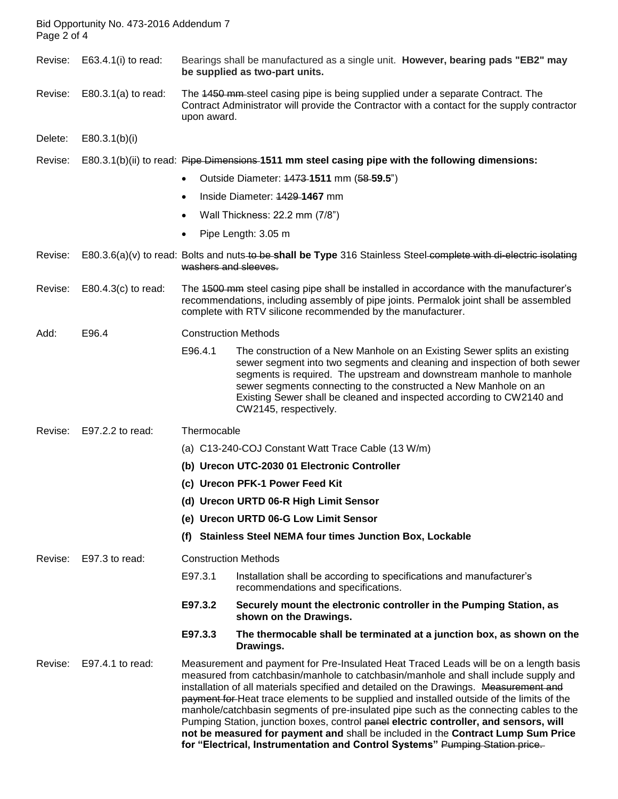| Page 2 of 4 | Bid Opportunity No. 473-2016 Addendum 7 |                                                                                                                                                                                                                                                |                                                                                                                                                                                                                                                                                                                                                                                                                                                                                                                                                                                                                                                                                                                           |
|-------------|-----------------------------------------|------------------------------------------------------------------------------------------------------------------------------------------------------------------------------------------------------------------------------------------------|---------------------------------------------------------------------------------------------------------------------------------------------------------------------------------------------------------------------------------------------------------------------------------------------------------------------------------------------------------------------------------------------------------------------------------------------------------------------------------------------------------------------------------------------------------------------------------------------------------------------------------------------------------------------------------------------------------------------------|
| Revise:     | E63.4.1 $(i)$ to read:                  |                                                                                                                                                                                                                                                | Bearings shall be manufactured as a single unit. However, bearing pads "EB2" may<br>be supplied as two-part units.                                                                                                                                                                                                                                                                                                                                                                                                                                                                                                                                                                                                        |
| Revise:     | $E80.3.1(a)$ to read:                   | upon award.                                                                                                                                                                                                                                    | The 4450 mm-steel casing pipe is being supplied under a separate Contract. The<br>Contract Administrator will provide the Contractor with a contact for the supply contractor                                                                                                                                                                                                                                                                                                                                                                                                                                                                                                                                             |
| Delete:     | E80.3.1(b)(i)                           |                                                                                                                                                                                                                                                |                                                                                                                                                                                                                                                                                                                                                                                                                                                                                                                                                                                                                                                                                                                           |
| Revise:     |                                         |                                                                                                                                                                                                                                                | E80.3.1(b)(ii) to read: Pipe Dimensions-1511 mm steel casing pipe with the following dimensions:                                                                                                                                                                                                                                                                                                                                                                                                                                                                                                                                                                                                                          |
|             |                                         | $\bullet$                                                                                                                                                                                                                                      | Outside Diameter: 4473-1511 mm (58-59.5")                                                                                                                                                                                                                                                                                                                                                                                                                                                                                                                                                                                                                                                                                 |
|             |                                         | $\bullet$                                                                                                                                                                                                                                      | Inside Diameter: 4429-1467 mm                                                                                                                                                                                                                                                                                                                                                                                                                                                                                                                                                                                                                                                                                             |
|             |                                         | ٠                                                                                                                                                                                                                                              | Wall Thickness: 22.2 mm (7/8")                                                                                                                                                                                                                                                                                                                                                                                                                                                                                                                                                                                                                                                                                            |
|             |                                         | $\bullet$                                                                                                                                                                                                                                      | Pipe Length: 3.05 m                                                                                                                                                                                                                                                                                                                                                                                                                                                                                                                                                                                                                                                                                                       |
| Revise:     |                                         | washers and sleeves.                                                                                                                                                                                                                           | E80.3.6(a)(v) to read: Bolts and nuts to be shall be Type 316 Stainless Steel complete with di-electric isolating                                                                                                                                                                                                                                                                                                                                                                                                                                                                                                                                                                                                         |
| Revise:     | $E80.4.3(c)$ to read:                   | The 4500 mm steel casing pipe shall be installed in accordance with the manufacturer's<br>recommendations, including assembly of pipe joints. Permalok joint shall be assembled<br>complete with RTV silicone recommended by the manufacturer. |                                                                                                                                                                                                                                                                                                                                                                                                                                                                                                                                                                                                                                                                                                                           |
| Add:        | E96.4                                   | <b>Construction Methods</b>                                                                                                                                                                                                                    |                                                                                                                                                                                                                                                                                                                                                                                                                                                                                                                                                                                                                                                                                                                           |
|             |                                         | E96.4.1                                                                                                                                                                                                                                        | The construction of a New Manhole on an Existing Sewer splits an existing<br>sewer segment into two segments and cleaning and inspection of both sewer<br>segments is required. The upstream and downstream manhole to manhole<br>sewer segments connecting to the constructed a New Manhole on an<br>Existing Sewer shall be cleaned and inspected according to CW2140 and<br>CW2145, respectively.                                                                                                                                                                                                                                                                                                                      |
| Revise:     | E97.2.2 to read:                        | Thermocable                                                                                                                                                                                                                                    |                                                                                                                                                                                                                                                                                                                                                                                                                                                                                                                                                                                                                                                                                                                           |
|             |                                         |                                                                                                                                                                                                                                                | (a) C13-240-COJ Constant Watt Trace Cable (13 W/m)                                                                                                                                                                                                                                                                                                                                                                                                                                                                                                                                                                                                                                                                        |
|             |                                         |                                                                                                                                                                                                                                                | (b) Urecon UTC-2030 01 Electronic Controller                                                                                                                                                                                                                                                                                                                                                                                                                                                                                                                                                                                                                                                                              |
|             |                                         |                                                                                                                                                                                                                                                | (c) Urecon PFK-1 Power Feed Kit                                                                                                                                                                                                                                                                                                                                                                                                                                                                                                                                                                                                                                                                                           |
|             |                                         |                                                                                                                                                                                                                                                | (d) Urecon URTD 06-R High Limit Sensor                                                                                                                                                                                                                                                                                                                                                                                                                                                                                                                                                                                                                                                                                    |
|             |                                         |                                                                                                                                                                                                                                                | (e) Urecon URTD 06-G Low Limit Sensor                                                                                                                                                                                                                                                                                                                                                                                                                                                                                                                                                                                                                                                                                     |
|             |                                         | (f)                                                                                                                                                                                                                                            | <b>Stainless Steel NEMA four times Junction Box, Lockable</b>                                                                                                                                                                                                                                                                                                                                                                                                                                                                                                                                                                                                                                                             |
| Revise:     | E97.3 to read:                          | <b>Construction Methods</b>                                                                                                                                                                                                                    |                                                                                                                                                                                                                                                                                                                                                                                                                                                                                                                                                                                                                                                                                                                           |
|             |                                         | E97.3.1                                                                                                                                                                                                                                        | Installation shall be according to specifications and manufacturer's<br>recommendations and specifications.                                                                                                                                                                                                                                                                                                                                                                                                                                                                                                                                                                                                               |
|             |                                         | E97.3.2                                                                                                                                                                                                                                        | Securely mount the electronic controller in the Pumping Station, as<br>shown on the Drawings.                                                                                                                                                                                                                                                                                                                                                                                                                                                                                                                                                                                                                             |
|             |                                         | E97.3.3                                                                                                                                                                                                                                        | The thermocable shall be terminated at a junction box, as shown on the<br>Drawings.                                                                                                                                                                                                                                                                                                                                                                                                                                                                                                                                                                                                                                       |
| Revise:     | E97.4.1 to read:                        |                                                                                                                                                                                                                                                | Measurement and payment for Pre-Insulated Heat Traced Leads will be on a length basis<br>measured from catchbasin/manhole to catchbasin/manhole and shall include supply and<br>installation of all materials specified and detailed on the Drawings. Measurement and<br>payment for Heat trace elements to be supplied and installed outside of the limits of the<br>manhole/catchbasin segments of pre-insulated pipe such as the connecting cables to the<br>Pumping Station, junction boxes, control panel electric controller, and sensors, will<br>not be measured for payment and shall be included in the Contract Lump Sum Price<br>for "Electrical, Instrumentation and Control Systems" Pumping Station price. |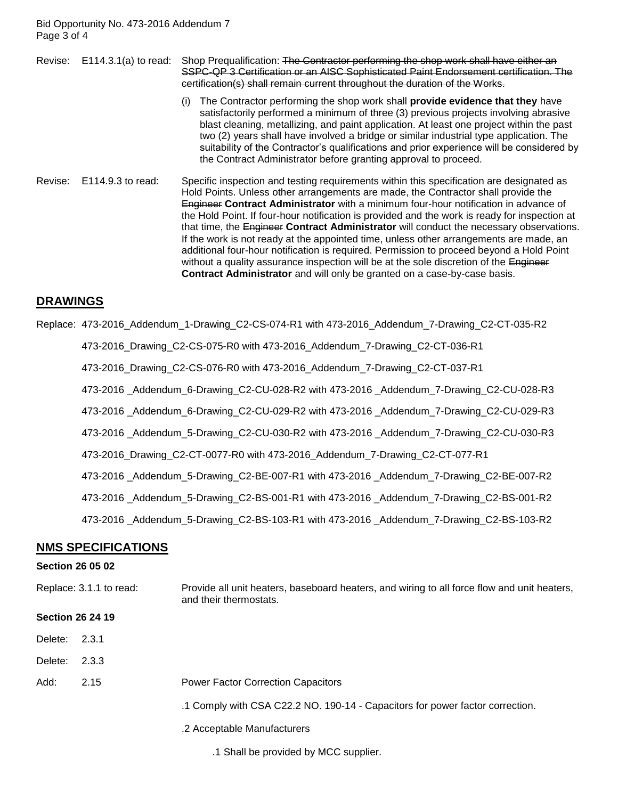Bid Opportunity No. 473-2016 Addendum 7 Page 3 of 4

Revise: E114.3.1(a) to read: Shop Prequalification: The Contractor performing the shop work shall have either an SSPC-QP 3 Certification or an AISC Sophisticated Paint Endorsement certification. The certification(s) shall remain current throughout the duration of the Works.

- (i) The Contractor performing the shop work shall **provide evidence that they** have satisfactorily performed a minimum of three (3) previous projects involving abrasive blast cleaning, metallizing, and paint application. At least one project within the past two (2) years shall have involved a bridge or similar industrial type application. The suitability of the Contractor's qualifications and prior experience will be considered by the Contract Administrator before granting approval to proceed.
- Revise: E114.9.3 to read: Specific inspection and testing requirements within this specification are designated as Hold Points. Unless other arrangements are made, the Contractor shall provide the Engineer **Contract Administrator** with a minimum four-hour notification in advance of the Hold Point. If four-hour notification is provided and the work is ready for inspection at that time, the Engineer **Contract Administrator** will conduct the necessary observations. If the work is not ready at the appointed time, unless other arrangements are made, an additional four-hour notification is required. Permission to proceed beyond a Hold Point without a quality assurance inspection will be at the sole discretion of the Engineer **Contract Administrator** and will only be granted on a case-by-case basis.

### **DRAWINGS**

Replace: 473-2016\_Addendum\_1-Drawing\_C2-CS-074-R1 with 473-2016\_Addendum\_7-Drawing\_C2-CT-035-R2

473-2016\_Drawing\_C2-CS-075-R0 with 473-2016\_Addendum\_7-Drawing\_C2-CT-036-R1

473-2016\_Drawing\_C2-CS-076-R0 with 473-2016\_Addendum\_7-Drawing\_C2-CT-037-R1

473-2016 \_Addendum\_6-Drawing\_C2-CU-028-R2 with 473-2016 \_Addendum\_7-Drawing\_C2-CU-028-R3

- 473-2016 \_Addendum\_6-Drawing\_C2-CU-029-R2 with 473-2016 \_Addendum\_7-Drawing\_C2-CU-029-R3
- 473-2016 \_Addendum\_5-Drawing\_C2-CU-030-R2 with 473-2016 \_Addendum\_7-Drawing\_C2-CU-030-R3

473-2016\_Drawing\_C2-CT-0077-R0 with 473-2016\_Addendum\_7-Drawing\_C2-CT-077-R1

473-2016 \_Addendum\_5-Drawing\_C2-BE-007-R1 with 473-2016 \_Addendum\_7-Drawing\_C2-BE-007-R2

473-2016 \_Addendum\_5-Drawing\_C2-BS-001-R1 with 473-2016 \_Addendum\_7-Drawing\_C2-BS-001-R2

473-2016 \_Addendum\_5-Drawing\_C2-BS-103-R1 with 473-2016 \_Addendum\_7-Drawing\_C2-BS-103-R2

### **NMS SPECIFICATIONS**

#### **Section 26 05 02**

| Replace: 3.1.1 to read: | Provide all unit heaters, baseboard heaters, and wiring to all force flow and unit heaters, |
|-------------------------|---------------------------------------------------------------------------------------------|
|                         | and their thermostats.                                                                      |

#### **Section 26 24 19**

Delete: 2.3.1

Delete: 2.3.3

- Add: 2.15 Power Factor Correction Capacitors
	- .1 Comply with CSA C22.2 NO. 190-14 Capacitors for power factor correction.
	- .2 Acceptable Manufacturers

.1 Shall be provided by MCC supplier.